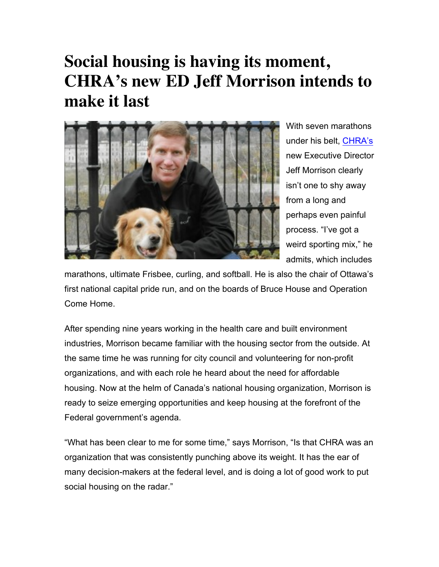## **Social housing is having its moment, CHRA's new ED Jeff Morrison intends to make it last**



With seven marathons under his belt, CHRA's new Executive Director Jeff Morrison clearly isn't one to shy away from a long and perhaps even painful process. "I've got a weird sporting mix," he admits, which includes

marathons, ultimate Frisbee, curling, and softball. He is also the chair of Ottawa's first national capital pride run, and on the boards of Bruce House and Operation Come Home.

After spending nine years working in the health care and built environment industries, Morrison became familiar with the housing sector from the outside. At the same time he was running for city council and volunteering for non-profit organizations, and with each role he heard about the need for affordable housing. Now at the helm of Canada's national housing organization, Morrison is ready to seize emerging opportunities and keep housing at the forefront of the Federal government's agenda.

"What has been clear to me for some time," says Morrison, "Is that CHRA was an organization that was consistently punching above its weight. It has the ear of many decision-makers at the federal level, and is doing a lot of good work to put social housing on the radar."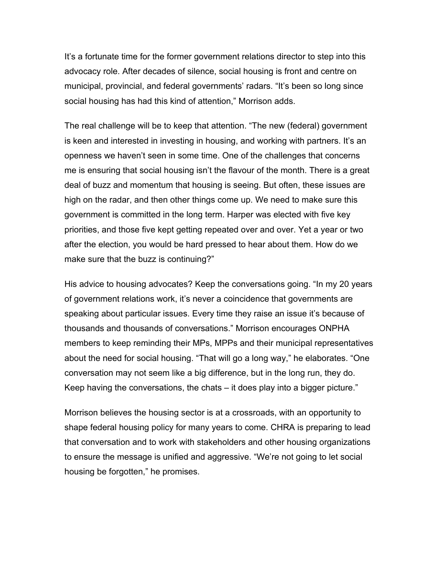It's a fortunate time for the former government relations director to step into this advocacy role. After decades of silence, social housing is front and centre on municipal, provincial, and federal governments' radars. "It's been so long since social housing has had this kind of attention," Morrison adds.

The real challenge will be to keep that attention. "The new (federal) government is keen and interested in investing in housing, and working with partners. It's an openness we haven't seen in some time. One of the challenges that concerns me is ensuring that social housing isn't the flavour of the month. There is a great deal of buzz and momentum that housing is seeing. But often, these issues are high on the radar, and then other things come up. We need to make sure this government is committed in the long term. Harper was elected with five key priorities, and those five kept getting repeated over and over. Yet a year or two after the election, you would be hard pressed to hear about them. How do we make sure that the buzz is continuing?"

His advice to housing advocates? Keep the conversations going. "In my 20 years of government relations work, it's never a coincidence that governments are speaking about particular issues. Every time they raise an issue it's because of thousands and thousands of conversations." Morrison encourages ONPHA members to keep reminding their MPs, MPPs and their municipal representatives about the need for social housing. "That will go a long way," he elaborates. "One conversation may not seem like a big difference, but in the long run, they do. Keep having the conversations, the chats – it does play into a bigger picture."

Morrison believes the housing sector is at a crossroads, with an opportunity to shape federal housing policy for many years to come. CHRA is preparing to lead that conversation and to work with stakeholders and other housing organizations to ensure the message is unified and aggressive. "We're not going to let social housing be forgotten," he promises.